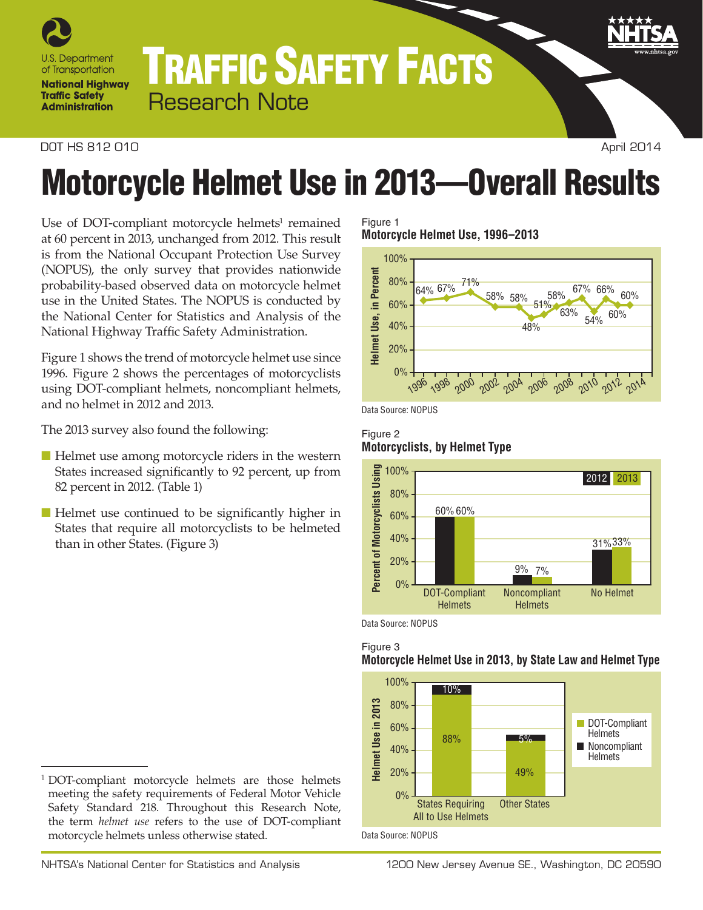

# TRAFFIC SAFETY FACTS Research Note

## **DOT HS 812 010** April 2014

# Motorcycle Helmet Use in 2013—Overall Results

Use of DOT-compliant motorcycle helmets<sup>1</sup> remained at 60 percent in 2013, unchanged from 2012. This result is from the National Occupant Protection Use Survey (NOPUS), the only survey that provides nationwide probability-based observed data on motorcycle helmet use in the United States. The NOPUS is conducted by the National Center for Statistics and Analysis of the National Highway Traffic Safety Administration.

Figure 1 shows the trend of motorcycle helmet use since 1996. Figure 2 shows the percentages of motorcyclists using DOT-compliant helmets, noncompliant helmets, and no helmet in 2012 and 2013.

The 2013 survey also found the following:

- Helmet use among motorcycle riders in the western States increased significantly to 92 percent, up from 82 percent in 2012. (Table 1)
- Helmet use continued to be significantly higher in States that require all motorcyclists to be helmeted than in other States. (Figure 3)

## <sup>1</sup> DOT-compliant motorcycle helmets are those helmets meeting the safety requirements of Federal Motor Vehicle Safety Standard 218. Throughout this Research Note, the term *helmet use* refers to the use of DOT-compliant motorcycle helmets unless otherwise stated.

#### Figure 1 **Motorcycle Helmet Use, 1996–2013**



Data Source: NOPUS

## Figure 2 **Motorcyclists, by Helmet Type**



Data Source: NOPUS



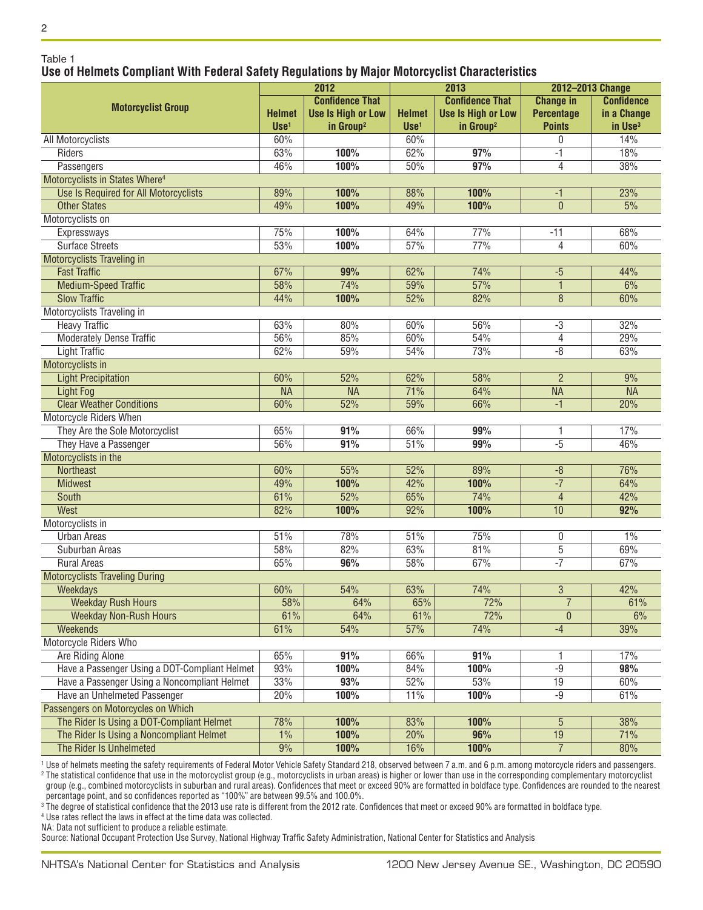# 2

Table 1

# **Use of Helmets Compliant With Federal Safety Regulations by Major Motorcyclist Characteristics**

| <b>Confidence That</b><br><b>Confidence That</b><br><b>Change in</b><br><b>Confidence</b><br><b>Motorcyclist Group</b><br><b>Helmet</b><br><b>Use Is High or Low</b><br><b>Helmet</b><br><b>Use Is High or Low</b><br><b>Percentage</b><br>in a Change<br>in Group <sup>2</sup><br>$Use1$<br>in Group <sup>2</sup><br><b>Points</b><br>in Use <sup>3</sup><br>$Use1$<br>14%<br><b>All Motorcyclists</b><br>60%<br>60%<br>0<br>62%<br>63%<br>100%<br>97%<br>18%<br>Riders<br>-1<br>46%<br>100%<br>97%<br>38%<br>Passengers<br>50%<br>4<br>Motorcyclists in States Where <sup>4</sup><br>89%<br>100%<br>100%<br>23%<br>Use Is Required for All Motorcyclists<br>88%<br>$-1$<br>100%<br>100%<br><b>Other States</b><br>49%<br>49%<br>$\mathbf{0}$<br>5%<br>Motorcyclists on<br>75%<br>100%<br>64%<br>77%<br>$-11$<br>68%<br>Expressways<br>77%<br><b>Surface Streets</b><br>53%<br>100%<br>57%<br>60%<br>4<br><b>Motorcyclists Traveling in</b><br><b>Fast Traffic</b><br>67%<br>74%<br>99%<br>62%<br>44%<br>$-5$<br>57%<br>58%<br>74%<br>6%<br><b>Medium-Speed Traffic</b><br>59%<br>1<br><b>Slow Traffic</b><br>82%<br>44%<br>100%<br>52%<br>8<br>60%<br>Motorcyclists Traveling in<br><b>Heavy Traffic</b><br>63%<br>56%<br>32%<br>80%<br>60%<br>$-3$<br>85%<br>54%<br>29%<br><b>Moderately Dense Traffic</b><br>56%<br>60%<br>4<br><b>Light Traffic</b><br>62%<br>59%<br>54%<br>73%<br>$-\sqrt{8}$<br>63%<br>Motorcyclists in<br>60%<br>52%<br>62%<br>58%<br>9%<br><b>Light Precipitation</b><br>$\overline{2}$<br>$\overline{\mathsf{NA}}$<br>71%<br><b>NA</b><br>64%<br><b>NA</b><br><b>NA</b><br>Light Fog<br><b>Clear Weather Conditions</b><br>60%<br>52%<br>59%<br>66%<br>20%<br>$-1$<br>Motorcycle Riders When<br>They Are the Sole Motorcyclist<br>99%<br>17%<br>65%<br>91%<br>66%<br>1<br>$-5$<br>51%<br>99%<br>46%<br>They Have a Passenger<br>56%<br>91%<br>Motorcyclists in the<br>60%<br>55%<br>52%<br>89%<br>76%<br>Northeast<br>$-8$<br>$\overline{-7}$<br>49%<br>100%<br>42%<br>100%<br>64%<br><b>Midwest</b><br>52%<br>74%<br>42%<br>61%<br>65%<br>South<br>$\overline{4}$<br>West<br>82%<br>100%<br>92%<br>100%<br>10<br>92%<br>Motorcyclists in<br>51%<br>78%<br>51%<br>75%<br>1%<br><b>Urban Areas</b><br>0<br>58%<br>82%<br>63%<br>81%<br>$\overline{5}$<br>69%<br>Suburban Areas<br>$-7$<br>65%<br>96%<br>67%<br>67%<br><b>Rural Areas</b><br>58%<br><b>Motorcyclists Traveling During</b><br>42%<br>60%<br>54%<br>63%<br>74%<br>3<br>Weekdays<br>72%<br>$\overline{7}$<br><b>Weekday Rush Hours</b><br>58%<br>64%<br>65%<br>61%<br>61%<br>72%<br><b>Weekday Non-Rush Hours</b><br>64%<br>61%<br>$\boldsymbol{0}$<br>6%<br>39%<br>61%<br>54%<br>57%<br>74%<br>$-4$<br><b>Weekends</b><br>Motorcycle Riders Who<br>65%<br>91%<br>91%<br>Are Riding Alone<br>66%<br>17%<br>93%<br>Have a Passenger Using a DOT-Compliant Helmet<br>100%<br>84%<br>100%<br>$-9$<br>98%<br>33%<br>93%<br>53%<br>Have a Passenger Using a Noncompliant Helmet<br>52%<br>60%<br>19<br>Have an Unhelmeted Passenger<br>20%<br>100%<br>100%<br>61%<br>11%<br>-9<br>Passengers on Motorcycles on Which<br>The Rider Is Using a DOT-Compliant Helmet<br>78%<br>100%<br>83%<br>100%<br>38%<br>5<br>The Rider Is Using a Noncompliant Helmet<br>1%<br>100%<br>96%<br>20%<br>19<br>71%<br>The Rider Is Unhelmeted<br>9%<br>100%<br>$\overline{7}$<br>16%<br>100%<br>80% |  | 2012 |  | 2013 |  | 2012-2013 Change |  |
|-------------------------------------------------------------------------------------------------------------------------------------------------------------------------------------------------------------------------------------------------------------------------------------------------------------------------------------------------------------------------------------------------------------------------------------------------------------------------------------------------------------------------------------------------------------------------------------------------------------------------------------------------------------------------------------------------------------------------------------------------------------------------------------------------------------------------------------------------------------------------------------------------------------------------------------------------------------------------------------------------------------------------------------------------------------------------------------------------------------------------------------------------------------------------------------------------------------------------------------------------------------------------------------------------------------------------------------------------------------------------------------------------------------------------------------------------------------------------------------------------------------------------------------------------------------------------------------------------------------------------------------------------------------------------------------------------------------------------------------------------------------------------------------------------------------------------------------------------------------------------------------------------------------------------------------------------------------------------------------------------------------------------------------------------------------------------------------------------------------------------------------------------------------------------------------------------------------------------------------------------------------------------------------------------------------------------------------------------------------------------------------------------------------------------------------------------------------------------------------------------------------------------------------------------------------------------------------------------------------------------------------------------------------------------------------------------------------------------------------------------------------------------------------------------------------------------------------------------------------------------------------------------------------------------------------------------------------------------------------------------------------------------------------------------------------------------------------------------------------------------------------------------------------------------------------------------------------------------------------------------------------------------------------------------------------------------------------------------------------------|--|------|--|------|--|------------------|--|
|                                                                                                                                                                                                                                                                                                                                                                                                                                                                                                                                                                                                                                                                                                                                                                                                                                                                                                                                                                                                                                                                                                                                                                                                                                                                                                                                                                                                                                                                                                                                                                                                                                                                                                                                                                                                                                                                                                                                                                                                                                                                                                                                                                                                                                                                                                                                                                                                                                                                                                                                                                                                                                                                                                                                                                                                                                                                                                                                                                                                                                                                                                                                                                                                                                                                                                                                                                   |  |      |  |      |  |                  |  |
|                                                                                                                                                                                                                                                                                                                                                                                                                                                                                                                                                                                                                                                                                                                                                                                                                                                                                                                                                                                                                                                                                                                                                                                                                                                                                                                                                                                                                                                                                                                                                                                                                                                                                                                                                                                                                                                                                                                                                                                                                                                                                                                                                                                                                                                                                                                                                                                                                                                                                                                                                                                                                                                                                                                                                                                                                                                                                                                                                                                                                                                                                                                                                                                                                                                                                                                                                                   |  |      |  |      |  |                  |  |
|                                                                                                                                                                                                                                                                                                                                                                                                                                                                                                                                                                                                                                                                                                                                                                                                                                                                                                                                                                                                                                                                                                                                                                                                                                                                                                                                                                                                                                                                                                                                                                                                                                                                                                                                                                                                                                                                                                                                                                                                                                                                                                                                                                                                                                                                                                                                                                                                                                                                                                                                                                                                                                                                                                                                                                                                                                                                                                                                                                                                                                                                                                                                                                                                                                                                                                                                                                   |  |      |  |      |  |                  |  |
|                                                                                                                                                                                                                                                                                                                                                                                                                                                                                                                                                                                                                                                                                                                                                                                                                                                                                                                                                                                                                                                                                                                                                                                                                                                                                                                                                                                                                                                                                                                                                                                                                                                                                                                                                                                                                                                                                                                                                                                                                                                                                                                                                                                                                                                                                                                                                                                                                                                                                                                                                                                                                                                                                                                                                                                                                                                                                                                                                                                                                                                                                                                                                                                                                                                                                                                                                                   |  |      |  |      |  |                  |  |
|                                                                                                                                                                                                                                                                                                                                                                                                                                                                                                                                                                                                                                                                                                                                                                                                                                                                                                                                                                                                                                                                                                                                                                                                                                                                                                                                                                                                                                                                                                                                                                                                                                                                                                                                                                                                                                                                                                                                                                                                                                                                                                                                                                                                                                                                                                                                                                                                                                                                                                                                                                                                                                                                                                                                                                                                                                                                                                                                                                                                                                                                                                                                                                                                                                                                                                                                                                   |  |      |  |      |  |                  |  |
|                                                                                                                                                                                                                                                                                                                                                                                                                                                                                                                                                                                                                                                                                                                                                                                                                                                                                                                                                                                                                                                                                                                                                                                                                                                                                                                                                                                                                                                                                                                                                                                                                                                                                                                                                                                                                                                                                                                                                                                                                                                                                                                                                                                                                                                                                                                                                                                                                                                                                                                                                                                                                                                                                                                                                                                                                                                                                                                                                                                                                                                                                                                                                                                                                                                                                                                                                                   |  |      |  |      |  |                  |  |
|                                                                                                                                                                                                                                                                                                                                                                                                                                                                                                                                                                                                                                                                                                                                                                                                                                                                                                                                                                                                                                                                                                                                                                                                                                                                                                                                                                                                                                                                                                                                                                                                                                                                                                                                                                                                                                                                                                                                                                                                                                                                                                                                                                                                                                                                                                                                                                                                                                                                                                                                                                                                                                                                                                                                                                                                                                                                                                                                                                                                                                                                                                                                                                                                                                                                                                                                                                   |  |      |  |      |  |                  |  |
|                                                                                                                                                                                                                                                                                                                                                                                                                                                                                                                                                                                                                                                                                                                                                                                                                                                                                                                                                                                                                                                                                                                                                                                                                                                                                                                                                                                                                                                                                                                                                                                                                                                                                                                                                                                                                                                                                                                                                                                                                                                                                                                                                                                                                                                                                                                                                                                                                                                                                                                                                                                                                                                                                                                                                                                                                                                                                                                                                                                                                                                                                                                                                                                                                                                                                                                                                                   |  |      |  |      |  |                  |  |
|                                                                                                                                                                                                                                                                                                                                                                                                                                                                                                                                                                                                                                                                                                                                                                                                                                                                                                                                                                                                                                                                                                                                                                                                                                                                                                                                                                                                                                                                                                                                                                                                                                                                                                                                                                                                                                                                                                                                                                                                                                                                                                                                                                                                                                                                                                                                                                                                                                                                                                                                                                                                                                                                                                                                                                                                                                                                                                                                                                                                                                                                                                                                                                                                                                                                                                                                                                   |  |      |  |      |  |                  |  |
|                                                                                                                                                                                                                                                                                                                                                                                                                                                                                                                                                                                                                                                                                                                                                                                                                                                                                                                                                                                                                                                                                                                                                                                                                                                                                                                                                                                                                                                                                                                                                                                                                                                                                                                                                                                                                                                                                                                                                                                                                                                                                                                                                                                                                                                                                                                                                                                                                                                                                                                                                                                                                                                                                                                                                                                                                                                                                                                                                                                                                                                                                                                                                                                                                                                                                                                                                                   |  |      |  |      |  |                  |  |
|                                                                                                                                                                                                                                                                                                                                                                                                                                                                                                                                                                                                                                                                                                                                                                                                                                                                                                                                                                                                                                                                                                                                                                                                                                                                                                                                                                                                                                                                                                                                                                                                                                                                                                                                                                                                                                                                                                                                                                                                                                                                                                                                                                                                                                                                                                                                                                                                                                                                                                                                                                                                                                                                                                                                                                                                                                                                                                                                                                                                                                                                                                                                                                                                                                                                                                                                                                   |  |      |  |      |  |                  |  |
|                                                                                                                                                                                                                                                                                                                                                                                                                                                                                                                                                                                                                                                                                                                                                                                                                                                                                                                                                                                                                                                                                                                                                                                                                                                                                                                                                                                                                                                                                                                                                                                                                                                                                                                                                                                                                                                                                                                                                                                                                                                                                                                                                                                                                                                                                                                                                                                                                                                                                                                                                                                                                                                                                                                                                                                                                                                                                                                                                                                                                                                                                                                                                                                                                                                                                                                                                                   |  |      |  |      |  |                  |  |
|                                                                                                                                                                                                                                                                                                                                                                                                                                                                                                                                                                                                                                                                                                                                                                                                                                                                                                                                                                                                                                                                                                                                                                                                                                                                                                                                                                                                                                                                                                                                                                                                                                                                                                                                                                                                                                                                                                                                                                                                                                                                                                                                                                                                                                                                                                                                                                                                                                                                                                                                                                                                                                                                                                                                                                                                                                                                                                                                                                                                                                                                                                                                                                                                                                                                                                                                                                   |  |      |  |      |  |                  |  |
|                                                                                                                                                                                                                                                                                                                                                                                                                                                                                                                                                                                                                                                                                                                                                                                                                                                                                                                                                                                                                                                                                                                                                                                                                                                                                                                                                                                                                                                                                                                                                                                                                                                                                                                                                                                                                                                                                                                                                                                                                                                                                                                                                                                                                                                                                                                                                                                                                                                                                                                                                                                                                                                                                                                                                                                                                                                                                                                                                                                                                                                                                                                                                                                                                                                                                                                                                                   |  |      |  |      |  |                  |  |
|                                                                                                                                                                                                                                                                                                                                                                                                                                                                                                                                                                                                                                                                                                                                                                                                                                                                                                                                                                                                                                                                                                                                                                                                                                                                                                                                                                                                                                                                                                                                                                                                                                                                                                                                                                                                                                                                                                                                                                                                                                                                                                                                                                                                                                                                                                                                                                                                                                                                                                                                                                                                                                                                                                                                                                                                                                                                                                                                                                                                                                                                                                                                                                                                                                                                                                                                                                   |  |      |  |      |  |                  |  |
|                                                                                                                                                                                                                                                                                                                                                                                                                                                                                                                                                                                                                                                                                                                                                                                                                                                                                                                                                                                                                                                                                                                                                                                                                                                                                                                                                                                                                                                                                                                                                                                                                                                                                                                                                                                                                                                                                                                                                                                                                                                                                                                                                                                                                                                                                                                                                                                                                                                                                                                                                                                                                                                                                                                                                                                                                                                                                                                                                                                                                                                                                                                                                                                                                                                                                                                                                                   |  |      |  |      |  |                  |  |
|                                                                                                                                                                                                                                                                                                                                                                                                                                                                                                                                                                                                                                                                                                                                                                                                                                                                                                                                                                                                                                                                                                                                                                                                                                                                                                                                                                                                                                                                                                                                                                                                                                                                                                                                                                                                                                                                                                                                                                                                                                                                                                                                                                                                                                                                                                                                                                                                                                                                                                                                                                                                                                                                                                                                                                                                                                                                                                                                                                                                                                                                                                                                                                                                                                                                                                                                                                   |  |      |  |      |  |                  |  |
|                                                                                                                                                                                                                                                                                                                                                                                                                                                                                                                                                                                                                                                                                                                                                                                                                                                                                                                                                                                                                                                                                                                                                                                                                                                                                                                                                                                                                                                                                                                                                                                                                                                                                                                                                                                                                                                                                                                                                                                                                                                                                                                                                                                                                                                                                                                                                                                                                                                                                                                                                                                                                                                                                                                                                                                                                                                                                                                                                                                                                                                                                                                                                                                                                                                                                                                                                                   |  |      |  |      |  |                  |  |
|                                                                                                                                                                                                                                                                                                                                                                                                                                                                                                                                                                                                                                                                                                                                                                                                                                                                                                                                                                                                                                                                                                                                                                                                                                                                                                                                                                                                                                                                                                                                                                                                                                                                                                                                                                                                                                                                                                                                                                                                                                                                                                                                                                                                                                                                                                                                                                                                                                                                                                                                                                                                                                                                                                                                                                                                                                                                                                                                                                                                                                                                                                                                                                                                                                                                                                                                                                   |  |      |  |      |  |                  |  |
|                                                                                                                                                                                                                                                                                                                                                                                                                                                                                                                                                                                                                                                                                                                                                                                                                                                                                                                                                                                                                                                                                                                                                                                                                                                                                                                                                                                                                                                                                                                                                                                                                                                                                                                                                                                                                                                                                                                                                                                                                                                                                                                                                                                                                                                                                                                                                                                                                                                                                                                                                                                                                                                                                                                                                                                                                                                                                                                                                                                                                                                                                                                                                                                                                                                                                                                                                                   |  |      |  |      |  |                  |  |
|                                                                                                                                                                                                                                                                                                                                                                                                                                                                                                                                                                                                                                                                                                                                                                                                                                                                                                                                                                                                                                                                                                                                                                                                                                                                                                                                                                                                                                                                                                                                                                                                                                                                                                                                                                                                                                                                                                                                                                                                                                                                                                                                                                                                                                                                                                                                                                                                                                                                                                                                                                                                                                                                                                                                                                                                                                                                                                                                                                                                                                                                                                                                                                                                                                                                                                                                                                   |  |      |  |      |  |                  |  |
|                                                                                                                                                                                                                                                                                                                                                                                                                                                                                                                                                                                                                                                                                                                                                                                                                                                                                                                                                                                                                                                                                                                                                                                                                                                                                                                                                                                                                                                                                                                                                                                                                                                                                                                                                                                                                                                                                                                                                                                                                                                                                                                                                                                                                                                                                                                                                                                                                                                                                                                                                                                                                                                                                                                                                                                                                                                                                                                                                                                                                                                                                                                                                                                                                                                                                                                                                                   |  |      |  |      |  |                  |  |
|                                                                                                                                                                                                                                                                                                                                                                                                                                                                                                                                                                                                                                                                                                                                                                                                                                                                                                                                                                                                                                                                                                                                                                                                                                                                                                                                                                                                                                                                                                                                                                                                                                                                                                                                                                                                                                                                                                                                                                                                                                                                                                                                                                                                                                                                                                                                                                                                                                                                                                                                                                                                                                                                                                                                                                                                                                                                                                                                                                                                                                                                                                                                                                                                                                                                                                                                                                   |  |      |  |      |  |                  |  |
|                                                                                                                                                                                                                                                                                                                                                                                                                                                                                                                                                                                                                                                                                                                                                                                                                                                                                                                                                                                                                                                                                                                                                                                                                                                                                                                                                                                                                                                                                                                                                                                                                                                                                                                                                                                                                                                                                                                                                                                                                                                                                                                                                                                                                                                                                                                                                                                                                                                                                                                                                                                                                                                                                                                                                                                                                                                                                                                                                                                                                                                                                                                                                                                                                                                                                                                                                                   |  |      |  |      |  |                  |  |
|                                                                                                                                                                                                                                                                                                                                                                                                                                                                                                                                                                                                                                                                                                                                                                                                                                                                                                                                                                                                                                                                                                                                                                                                                                                                                                                                                                                                                                                                                                                                                                                                                                                                                                                                                                                                                                                                                                                                                                                                                                                                                                                                                                                                                                                                                                                                                                                                                                                                                                                                                                                                                                                                                                                                                                                                                                                                                                                                                                                                                                                                                                                                                                                                                                                                                                                                                                   |  |      |  |      |  |                  |  |
|                                                                                                                                                                                                                                                                                                                                                                                                                                                                                                                                                                                                                                                                                                                                                                                                                                                                                                                                                                                                                                                                                                                                                                                                                                                                                                                                                                                                                                                                                                                                                                                                                                                                                                                                                                                                                                                                                                                                                                                                                                                                                                                                                                                                                                                                                                                                                                                                                                                                                                                                                                                                                                                                                                                                                                                                                                                                                                                                                                                                                                                                                                                                                                                                                                                                                                                                                                   |  |      |  |      |  |                  |  |
|                                                                                                                                                                                                                                                                                                                                                                                                                                                                                                                                                                                                                                                                                                                                                                                                                                                                                                                                                                                                                                                                                                                                                                                                                                                                                                                                                                                                                                                                                                                                                                                                                                                                                                                                                                                                                                                                                                                                                                                                                                                                                                                                                                                                                                                                                                                                                                                                                                                                                                                                                                                                                                                                                                                                                                                                                                                                                                                                                                                                                                                                                                                                                                                                                                                                                                                                                                   |  |      |  |      |  |                  |  |
|                                                                                                                                                                                                                                                                                                                                                                                                                                                                                                                                                                                                                                                                                                                                                                                                                                                                                                                                                                                                                                                                                                                                                                                                                                                                                                                                                                                                                                                                                                                                                                                                                                                                                                                                                                                                                                                                                                                                                                                                                                                                                                                                                                                                                                                                                                                                                                                                                                                                                                                                                                                                                                                                                                                                                                                                                                                                                                                                                                                                                                                                                                                                                                                                                                                                                                                                                                   |  |      |  |      |  |                  |  |
|                                                                                                                                                                                                                                                                                                                                                                                                                                                                                                                                                                                                                                                                                                                                                                                                                                                                                                                                                                                                                                                                                                                                                                                                                                                                                                                                                                                                                                                                                                                                                                                                                                                                                                                                                                                                                                                                                                                                                                                                                                                                                                                                                                                                                                                                                                                                                                                                                                                                                                                                                                                                                                                                                                                                                                                                                                                                                                                                                                                                                                                                                                                                                                                                                                                                                                                                                                   |  |      |  |      |  |                  |  |
|                                                                                                                                                                                                                                                                                                                                                                                                                                                                                                                                                                                                                                                                                                                                                                                                                                                                                                                                                                                                                                                                                                                                                                                                                                                                                                                                                                                                                                                                                                                                                                                                                                                                                                                                                                                                                                                                                                                                                                                                                                                                                                                                                                                                                                                                                                                                                                                                                                                                                                                                                                                                                                                                                                                                                                                                                                                                                                                                                                                                                                                                                                                                                                                                                                                                                                                                                                   |  |      |  |      |  |                  |  |
|                                                                                                                                                                                                                                                                                                                                                                                                                                                                                                                                                                                                                                                                                                                                                                                                                                                                                                                                                                                                                                                                                                                                                                                                                                                                                                                                                                                                                                                                                                                                                                                                                                                                                                                                                                                                                                                                                                                                                                                                                                                                                                                                                                                                                                                                                                                                                                                                                                                                                                                                                                                                                                                                                                                                                                                                                                                                                                                                                                                                                                                                                                                                                                                                                                                                                                                                                                   |  |      |  |      |  |                  |  |
|                                                                                                                                                                                                                                                                                                                                                                                                                                                                                                                                                                                                                                                                                                                                                                                                                                                                                                                                                                                                                                                                                                                                                                                                                                                                                                                                                                                                                                                                                                                                                                                                                                                                                                                                                                                                                                                                                                                                                                                                                                                                                                                                                                                                                                                                                                                                                                                                                                                                                                                                                                                                                                                                                                                                                                                                                                                                                                                                                                                                                                                                                                                                                                                                                                                                                                                                                                   |  |      |  |      |  |                  |  |
|                                                                                                                                                                                                                                                                                                                                                                                                                                                                                                                                                                                                                                                                                                                                                                                                                                                                                                                                                                                                                                                                                                                                                                                                                                                                                                                                                                                                                                                                                                                                                                                                                                                                                                                                                                                                                                                                                                                                                                                                                                                                                                                                                                                                                                                                                                                                                                                                                                                                                                                                                                                                                                                                                                                                                                                                                                                                                                                                                                                                                                                                                                                                                                                                                                                                                                                                                                   |  |      |  |      |  |                  |  |
|                                                                                                                                                                                                                                                                                                                                                                                                                                                                                                                                                                                                                                                                                                                                                                                                                                                                                                                                                                                                                                                                                                                                                                                                                                                                                                                                                                                                                                                                                                                                                                                                                                                                                                                                                                                                                                                                                                                                                                                                                                                                                                                                                                                                                                                                                                                                                                                                                                                                                                                                                                                                                                                                                                                                                                                                                                                                                                                                                                                                                                                                                                                                                                                                                                                                                                                                                                   |  |      |  |      |  |                  |  |
|                                                                                                                                                                                                                                                                                                                                                                                                                                                                                                                                                                                                                                                                                                                                                                                                                                                                                                                                                                                                                                                                                                                                                                                                                                                                                                                                                                                                                                                                                                                                                                                                                                                                                                                                                                                                                                                                                                                                                                                                                                                                                                                                                                                                                                                                                                                                                                                                                                                                                                                                                                                                                                                                                                                                                                                                                                                                                                                                                                                                                                                                                                                                                                                                                                                                                                                                                                   |  |      |  |      |  |                  |  |
|                                                                                                                                                                                                                                                                                                                                                                                                                                                                                                                                                                                                                                                                                                                                                                                                                                                                                                                                                                                                                                                                                                                                                                                                                                                                                                                                                                                                                                                                                                                                                                                                                                                                                                                                                                                                                                                                                                                                                                                                                                                                                                                                                                                                                                                                                                                                                                                                                                                                                                                                                                                                                                                                                                                                                                                                                                                                                                                                                                                                                                                                                                                                                                                                                                                                                                                                                                   |  |      |  |      |  |                  |  |
|                                                                                                                                                                                                                                                                                                                                                                                                                                                                                                                                                                                                                                                                                                                                                                                                                                                                                                                                                                                                                                                                                                                                                                                                                                                                                                                                                                                                                                                                                                                                                                                                                                                                                                                                                                                                                                                                                                                                                                                                                                                                                                                                                                                                                                                                                                                                                                                                                                                                                                                                                                                                                                                                                                                                                                                                                                                                                                                                                                                                                                                                                                                                                                                                                                                                                                                                                                   |  |      |  |      |  |                  |  |
|                                                                                                                                                                                                                                                                                                                                                                                                                                                                                                                                                                                                                                                                                                                                                                                                                                                                                                                                                                                                                                                                                                                                                                                                                                                                                                                                                                                                                                                                                                                                                                                                                                                                                                                                                                                                                                                                                                                                                                                                                                                                                                                                                                                                                                                                                                                                                                                                                                                                                                                                                                                                                                                                                                                                                                                                                                                                                                                                                                                                                                                                                                                                                                                                                                                                                                                                                                   |  |      |  |      |  |                  |  |
|                                                                                                                                                                                                                                                                                                                                                                                                                                                                                                                                                                                                                                                                                                                                                                                                                                                                                                                                                                                                                                                                                                                                                                                                                                                                                                                                                                                                                                                                                                                                                                                                                                                                                                                                                                                                                                                                                                                                                                                                                                                                                                                                                                                                                                                                                                                                                                                                                                                                                                                                                                                                                                                                                                                                                                                                                                                                                                                                                                                                                                                                                                                                                                                                                                                                                                                                                                   |  |      |  |      |  |                  |  |
|                                                                                                                                                                                                                                                                                                                                                                                                                                                                                                                                                                                                                                                                                                                                                                                                                                                                                                                                                                                                                                                                                                                                                                                                                                                                                                                                                                                                                                                                                                                                                                                                                                                                                                                                                                                                                                                                                                                                                                                                                                                                                                                                                                                                                                                                                                                                                                                                                                                                                                                                                                                                                                                                                                                                                                                                                                                                                                                                                                                                                                                                                                                                                                                                                                                                                                                                                                   |  |      |  |      |  |                  |  |
|                                                                                                                                                                                                                                                                                                                                                                                                                                                                                                                                                                                                                                                                                                                                                                                                                                                                                                                                                                                                                                                                                                                                                                                                                                                                                                                                                                                                                                                                                                                                                                                                                                                                                                                                                                                                                                                                                                                                                                                                                                                                                                                                                                                                                                                                                                                                                                                                                                                                                                                                                                                                                                                                                                                                                                                                                                                                                                                                                                                                                                                                                                                                                                                                                                                                                                                                                                   |  |      |  |      |  |                  |  |
|                                                                                                                                                                                                                                                                                                                                                                                                                                                                                                                                                                                                                                                                                                                                                                                                                                                                                                                                                                                                                                                                                                                                                                                                                                                                                                                                                                                                                                                                                                                                                                                                                                                                                                                                                                                                                                                                                                                                                                                                                                                                                                                                                                                                                                                                                                                                                                                                                                                                                                                                                                                                                                                                                                                                                                                                                                                                                                                                                                                                                                                                                                                                                                                                                                                                                                                                                                   |  |      |  |      |  |                  |  |
|                                                                                                                                                                                                                                                                                                                                                                                                                                                                                                                                                                                                                                                                                                                                                                                                                                                                                                                                                                                                                                                                                                                                                                                                                                                                                                                                                                                                                                                                                                                                                                                                                                                                                                                                                                                                                                                                                                                                                                                                                                                                                                                                                                                                                                                                                                                                                                                                                                                                                                                                                                                                                                                                                                                                                                                                                                                                                                                                                                                                                                                                                                                                                                                                                                                                                                                                                                   |  |      |  |      |  |                  |  |
|                                                                                                                                                                                                                                                                                                                                                                                                                                                                                                                                                                                                                                                                                                                                                                                                                                                                                                                                                                                                                                                                                                                                                                                                                                                                                                                                                                                                                                                                                                                                                                                                                                                                                                                                                                                                                                                                                                                                                                                                                                                                                                                                                                                                                                                                                                                                                                                                                                                                                                                                                                                                                                                                                                                                                                                                                                                                                                                                                                                                                                                                                                                                                                                                                                                                                                                                                                   |  |      |  |      |  |                  |  |
|                                                                                                                                                                                                                                                                                                                                                                                                                                                                                                                                                                                                                                                                                                                                                                                                                                                                                                                                                                                                                                                                                                                                                                                                                                                                                                                                                                                                                                                                                                                                                                                                                                                                                                                                                                                                                                                                                                                                                                                                                                                                                                                                                                                                                                                                                                                                                                                                                                                                                                                                                                                                                                                                                                                                                                                                                                                                                                                                                                                                                                                                                                                                                                                                                                                                                                                                                                   |  |      |  |      |  |                  |  |
|                                                                                                                                                                                                                                                                                                                                                                                                                                                                                                                                                                                                                                                                                                                                                                                                                                                                                                                                                                                                                                                                                                                                                                                                                                                                                                                                                                                                                                                                                                                                                                                                                                                                                                                                                                                                                                                                                                                                                                                                                                                                                                                                                                                                                                                                                                                                                                                                                                                                                                                                                                                                                                                                                                                                                                                                                                                                                                                                                                                                                                                                                                                                                                                                                                                                                                                                                                   |  |      |  |      |  |                  |  |
|                                                                                                                                                                                                                                                                                                                                                                                                                                                                                                                                                                                                                                                                                                                                                                                                                                                                                                                                                                                                                                                                                                                                                                                                                                                                                                                                                                                                                                                                                                                                                                                                                                                                                                                                                                                                                                                                                                                                                                                                                                                                                                                                                                                                                                                                                                                                                                                                                                                                                                                                                                                                                                                                                                                                                                                                                                                                                                                                                                                                                                                                                                                                                                                                                                                                                                                                                                   |  |      |  |      |  |                  |  |
|                                                                                                                                                                                                                                                                                                                                                                                                                                                                                                                                                                                                                                                                                                                                                                                                                                                                                                                                                                                                                                                                                                                                                                                                                                                                                                                                                                                                                                                                                                                                                                                                                                                                                                                                                                                                                                                                                                                                                                                                                                                                                                                                                                                                                                                                                                                                                                                                                                                                                                                                                                                                                                                                                                                                                                                                                                                                                                                                                                                                                                                                                                                                                                                                                                                                                                                                                                   |  |      |  |      |  |                  |  |
|                                                                                                                                                                                                                                                                                                                                                                                                                                                                                                                                                                                                                                                                                                                                                                                                                                                                                                                                                                                                                                                                                                                                                                                                                                                                                                                                                                                                                                                                                                                                                                                                                                                                                                                                                                                                                                                                                                                                                                                                                                                                                                                                                                                                                                                                                                                                                                                                                                                                                                                                                                                                                                                                                                                                                                                                                                                                                                                                                                                                                                                                                                                                                                                                                                                                                                                                                                   |  |      |  |      |  |                  |  |
|                                                                                                                                                                                                                                                                                                                                                                                                                                                                                                                                                                                                                                                                                                                                                                                                                                                                                                                                                                                                                                                                                                                                                                                                                                                                                                                                                                                                                                                                                                                                                                                                                                                                                                                                                                                                                                                                                                                                                                                                                                                                                                                                                                                                                                                                                                                                                                                                                                                                                                                                                                                                                                                                                                                                                                                                                                                                                                                                                                                                                                                                                                                                                                                                                                                                                                                                                                   |  |      |  |      |  |                  |  |

<sup>1</sup> Use of helmets meeting the safety requirements of Federal Motor Vehicle Safety Standard 218, observed between 7 a.m. and 6 p.m. among motorcycle riders and passengers.  $^{\rm 2}$  The statistical confidence that use in the motorcyclist group (e.g., motorcyclists in urban areas) is higher or lower than use in the corresponding complementary motorcyclist group (e.g., combined motorcyclists in suburban and rural areas). Confidences that meet or exceed 90% are formatted in boldface type. Confidences are rounded to the nearest percentage point, and so confidences reported as "100%" are between 99.5% and 100.0%.

<sup>3</sup> The degree of statistical confidence that the 2013 use rate is different from the 2012 rate. Confidences that meet or exceed 90% are formatted in boldface type.

<sup>4</sup> Use rates reflect the laws in effect at the time data was collected.

NA: Data not sufficient to produce a reliable estimate.

Source: National Occupant Protection Use Survey, National Highway Traffic Safety Administration, National Center for Statistics and Analysis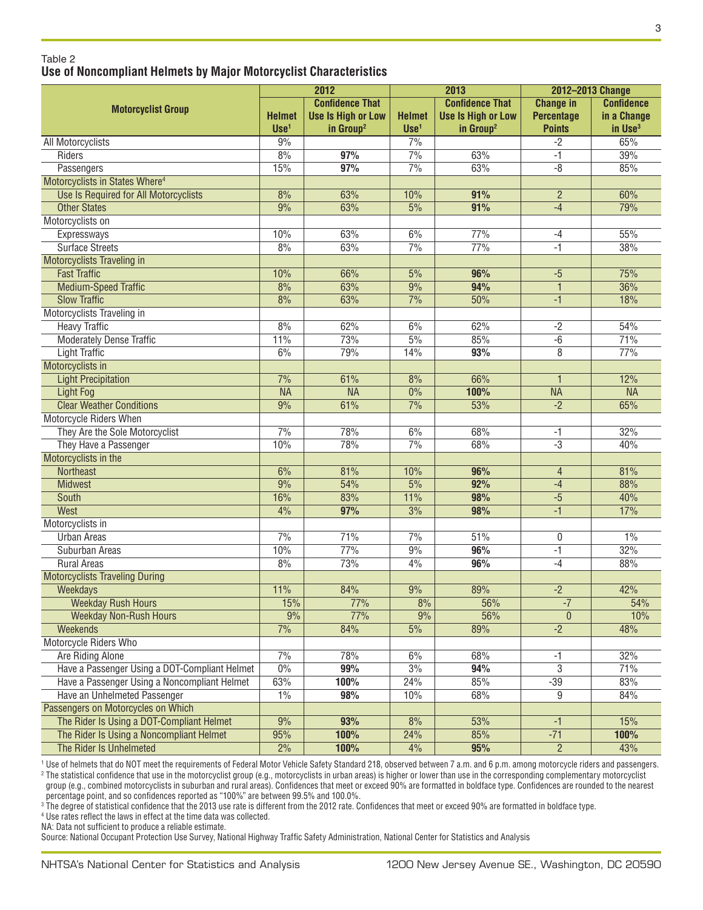#### <sup>4</sup> Use rates reflect the laws in effect at the time data was collected. NA: Data not sufficient to produce a reliable estimate.

Source: National Occupant Protection Use Survey, National Highway Traffic Safety Administration, National Center for Statistics and Analysis

## Table 2 **Use of Noncompliant Helmets by Major Motorcyclist Characteristics**

|                                               | 2012<br><b>Confidence That</b> |                           | 2013             |                           | 2012-2013 Change  |                     |
|-----------------------------------------------|--------------------------------|---------------------------|------------------|---------------------------|-------------------|---------------------|
| <b>Motorcyclist Group</b>                     |                                |                           |                  | <b>Confidence That</b>    | <b>Change in</b>  | <b>Confidence</b>   |
|                                               | <b>Helmet</b>                  | <b>Use Is High or Low</b> | <b>Helmet</b>    | <b>Use Is High or Low</b> | <b>Percentage</b> | in a Change         |
|                                               | $Use1$                         | in Group <sup>2</sup>     | Use <sup>1</sup> | in Group <sup>2</sup>     | <b>Points</b>     | in Use <sup>3</sup> |
| All Motorcyclists                             | 9%                             |                           | 7%               |                           | $-2$              | 65%                 |
| Riders                                        | 8%                             | 97%                       | 7%               | 63%                       | $-1$              | 39%                 |
| Passengers                                    | 15%                            | 97%                       | 7%               | 63%                       | $-8$              | 85%                 |
| Motorcyclists in States Where <sup>4</sup>    |                                |                           |                  |                           |                   |                     |
| Use Is Required for All Motorcyclists         | 8%                             | 63%                       | 10%              | 91%                       | $\overline{2}$    | 60%                 |
| <b>Other States</b>                           | 9%                             | 63%                       | 5%               | 91%                       | $-4$              | 79%                 |
| Motorcyclists on                              |                                |                           |                  |                           |                   |                     |
| Expressways                                   | 10%                            | 63%                       | 6%               | 77%                       | $-4$              | 55%                 |
| <b>Surface Streets</b>                        | 8%                             | 63%                       | 7%               | 77%                       | $-1$              | 38%                 |
| Motorcyclists Traveling in                    |                                |                           |                  |                           |                   |                     |
| <b>Fast Traffic</b>                           | 10%                            | 66%                       | 5%               | 96%                       | $-5$              | 75%                 |
| <b>Medium-Speed Traffic</b>                   | 8%                             | 63%                       | 9%               | 94%                       | $\mathbf{1}$      | 36%                 |
| <b>Slow Traffic</b>                           | 8%                             | 63%                       | 7%               | 50%                       | $-1$              | 18%                 |
| Motorcyclists Traveling in                    |                                |                           |                  |                           |                   |                     |
| <b>Heavy Traffic</b>                          | 8%                             | 62%                       | 6%               | 62%                       | $-2$              | 54%                 |
| <b>Moderately Dense Traffic</b>               | 11%                            | 73%                       | 5%               | 85%                       | $-6$              | 71%                 |
| <b>Light Traffic</b>                          | 6%                             | 79%                       | 14%              | 93%                       | 8                 | 77%                 |
| Motorcyclists in                              |                                |                           |                  |                           |                   |                     |
| <b>Light Precipitation</b>                    | 7%                             | 61%                       | 8%               | 66%                       | $\overline{1}$    | 12%                 |
| <b>Light Fog</b>                              | <b>NA</b>                      | <b>NA</b>                 | $0\%$            | 100%                      | <b>NA</b>         | <b>NA</b>           |
| <b>Clear Weather Conditions</b>               | 9%                             | 61%                       | 7%               | 53%                       | $-2$              | 65%                 |
| Motorcycle Riders When                        |                                |                           |                  |                           |                   |                     |
| They Are the Sole Motorcyclist                | 7%                             | 78%                       | 6%               | 68%                       | $-1$              | 32%                 |
| They Have a Passenger                         | 10%                            | 78%                       | 7%               | 68%                       | $-3$              | 40%                 |
| Motorcyclists in the                          |                                |                           |                  |                           |                   |                     |
| <b>Northeast</b>                              | 6%                             | 81%                       | 10%              | 96%                       | $\overline{4}$    | 81%                 |
| <b>Midwest</b>                                | 9%                             | 54%                       | 5%               | 92%                       | $-4$              | 88%                 |
| <b>South</b>                                  | 16%                            | 83%                       | 11%              | 98%                       | $-5$              | 40%                 |
| West                                          | 4%                             | 97%                       | 3%               | 98%                       | $-1$              | 17%                 |
| Motorcyclists in                              |                                |                           |                  |                           |                   |                     |
| <b>Urban Areas</b>                            | 7%                             | 71%                       | 7%               | 51%                       | 0                 | 1%                  |
| Suburban Areas                                | 10%                            | 77%                       | 9%               | 96%                       | $-1$              | 32%                 |
| <b>Rural Areas</b>                            | 8%                             | 73%                       | 4%               | 96%                       | $-4$              | 88%                 |
| <b>Motorcyclists Traveling During</b>         |                                |                           |                  |                           |                   |                     |
| Weekdays                                      | 11%                            | 84%                       | 9%               | 89%                       | $-2$              | 42%                 |
| <b>Weekday Rush Hours</b>                     | 15%                            | 77%                       | 8%               | 56%                       | $-7$              | 54%                 |
| <b>Weekday Non-Rush Hours</b>                 | 9%                             | 77%                       | 9%               | 56%                       | $\mathbf{0}$      | 10%                 |
| <b>Weekends</b>                               | 7%                             | 84%                       | 5%               | 89%                       | $-2$              | 48%                 |
| Motorcycle Riders Who                         |                                |                           |                  |                           |                   |                     |
| <b>Are Riding Alone</b>                       | 7%                             | 78%                       | 6%               | 68%                       | -1                | 32%                 |
| Have a Passenger Using a DOT-Compliant Helmet | 0%                             | 99%                       | 3%               | 94%                       | $\overline{3}$    | 71%                 |
| Have a Passenger Using a Noncompliant Helmet  | 63%                            | 100%                      | 24%              | 85%                       | $-39$             | 83%                 |
| Have an Unhelmeted Passenger                  | 1%                             | 98%                       | 10%              | 68%                       | 9                 | 84%                 |
| Passengers on Motorcycles on Which            |                                |                           |                  |                           |                   |                     |
| The Rider Is Using a DOT-Compliant Helmet     | 9%                             | 93%                       | 8%               | 53%                       | $-1$              | 15%                 |
| The Rider Is Using a Noncompliant Helmet      | 95%                            | 100%                      | 24%              | 85%                       | $-71$             | 100%                |
| The Rider Is Unhelmeted                       | 2%                             |                           | 4%               | 95%                       | $\overline{2}$    | 43%                 |
|                                               |                                | 100%                      |                  |                           |                   |                     |

<sup>1</sup> Use of helmets that do NOT meet the requirements of Federal Motor Vehicle Safety Standard 218, observed between 7 a.m. and 6 p.m. among motorcycle riders and passengers. <sup>2</sup> The statistical confidence that use in the motorcyclist group (e.g., motorcyclists in urban areas) is higher or lower than use in the corresponding complementary motorcyclist group (e.g., combined motorcyclists in suburban and rural areas). Confidences that meet or exceed 90% are formatted in boldface type. Confidences are rounded to the nearest percentage point, and so confidences reported as "100%" are between 99.5% and 100.0%. <sup>3</sup> The degree of statistical confidence that the 2013 use rate is different from the 2012 rate. Confidences that meet or exceed 90% are formatted in boldface type.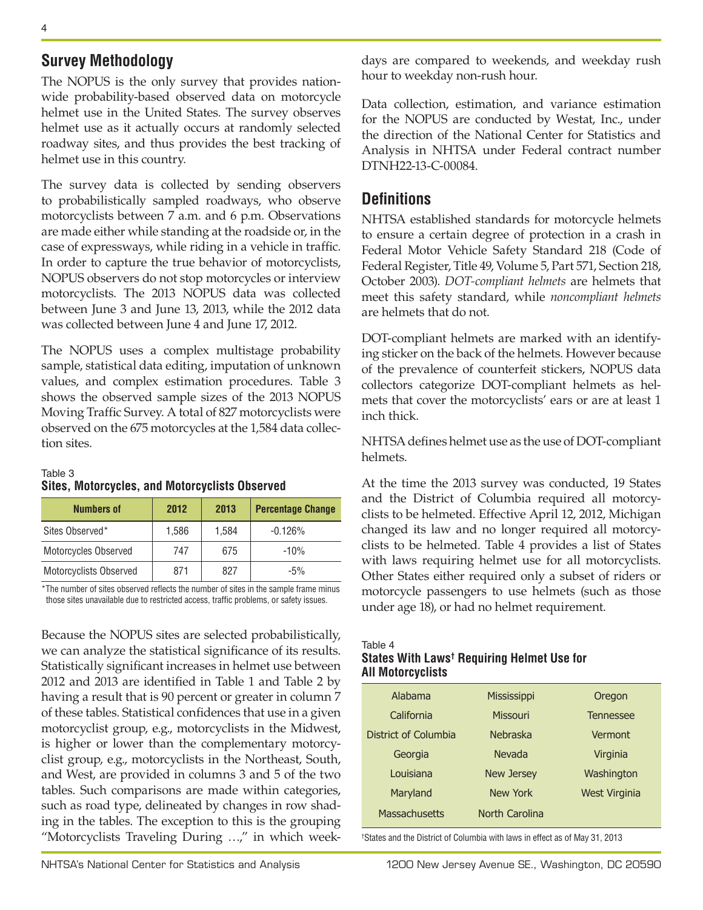# **Survey Methodology**

The NOPUS is the only survey that provides nationwide probability-based observed data on motorcycle helmet use in the United States. The survey observes helmet use as it actually occurs at randomly selected roadway sites, and thus provides the best tracking of helmet use in this country.

The survey data is collected by sending observers to probabilistically sampled roadways, who observe motorcyclists between 7 a.m. and 6 p.m. Observations are made either while standing at the roadside or, in the case of expressways, while riding in a vehicle in traffic. In order to capture the true behavior of motorcyclists, NOPUS observers do not stop motorcycles or interview motorcyclists. The 2013 NOPUS data was collected between June 3 and June 13, 2013, while the 2012 data was collected between June 4 and June 17, 2012.

The NOPUS uses a complex multistage probability sample, statistical data editing, imputation of unknown values, and complex estimation procedures. Table 3 shows the observed sample sizes of the 2013 NOPUS Moving Traffic Survey. A total of 827 motorcyclists were observed on the 675 motorcycles at the 1,584 data collection sites.

## Table 3 **Sites, Motorcycles, and Motorcyclists Observed**

| <b>Numbers of</b>      | 2012  | 2013  | <b>Percentage Change</b> |
|------------------------|-------|-------|--------------------------|
| Sites Observed*        | 1,586 | 1,584 | $-0.126%$                |
| Motorcycles Observed   | 747   | 675   | $-10%$                   |
| Motorcyclists Observed | 871   | 827   | $-5%$                    |

\*The number of sites observed reflects the number of sites in the sample frame minus those sites unavailable due to restricted access, traffic problems, or safety issues.

Because the NOPUS sites are selected probabilistically, we can analyze the statistical significance of its results. Statistically significant increases in helmet use between 2012 and 2013 are identified in Table 1 and Table 2 by having a result that is 90 percent or greater in column 7 of these tables. Statistical confidences that use in a given motorcyclist group, e.g., motorcyclists in the Midwest, is higher or lower than the complementary motorcyclist group, e.g., motorcyclists in the Northeast, South, and West, are provided in columns 3 and 5 of the two tables. Such comparisons are made within categories, such as road type, delineated by changes in row shading in the tables. The exception to this is the grouping "Motorcyclists Traveling During …," in which weekdays are compared to weekends, and weekday rush hour to weekday non-rush hour.

Data collection, estimation, and variance estimation for the NOPUS are conducted by Westat, Inc., under the direction of the National Center for Statistics and Analysis in NHTSA under Federal contract number DTNH22-13-C-00084.

# **Definitions**

NHTSA established standards for motorcycle helmets to ensure a certain degree of protection in a crash in Federal Motor Vehicle Safety Standard 218 (Code of Federal Register, Title 49, Volume 5, Part 571, Section 218, October 2003). *DOT-compliant helmets* are helmets that meet this safety standard, while *noncompliant helmets* are helmets that do not.

DOT-compliant helmets are marked with an identifying sticker on the back of the helmets. However because of the prevalence of counterfeit stickers, NOPUS data collectors categorize DOT-compliant helmets as helmets that cover the motorcyclists' ears or are at least 1 inch thick.

NHTSA defines helmet use as the use of DOT-compliant helmets.

At the time the 2013 survey was conducted, 19 States and the District of Columbia required all motorcyclists to be helmeted. Effective April 12, 2012, Michigan changed its law and no longer required all motorcyclists to be helmeted. Table 4 provides a list of States with laws requiring helmet use for all motorcyclists. Other States either required only a subset of riders or motorcycle passengers to use helmets (such as those under age 18), or had no helmet requirement.

## Table 4 **States With Laws† Requiring Helmet Use for All Motorcyclists**

| Alabama              | Mississippi       | Oregon               |
|----------------------|-------------------|----------------------|
| California           | <b>Missouri</b>   | <b>Tennessee</b>     |
| District of Columbia | <b>Nebraska</b>   | Vermont              |
| Georgia              | Nevada            | Virginia             |
| Louisiana            | <b>New Jersey</b> | Washington           |
| Maryland             | New York          | <b>West Virginia</b> |
| Massachusetts        | North Carolina    |                      |
|                      |                   |                      |

† States and the District of Columbia with laws in effect as of May 31, 2013